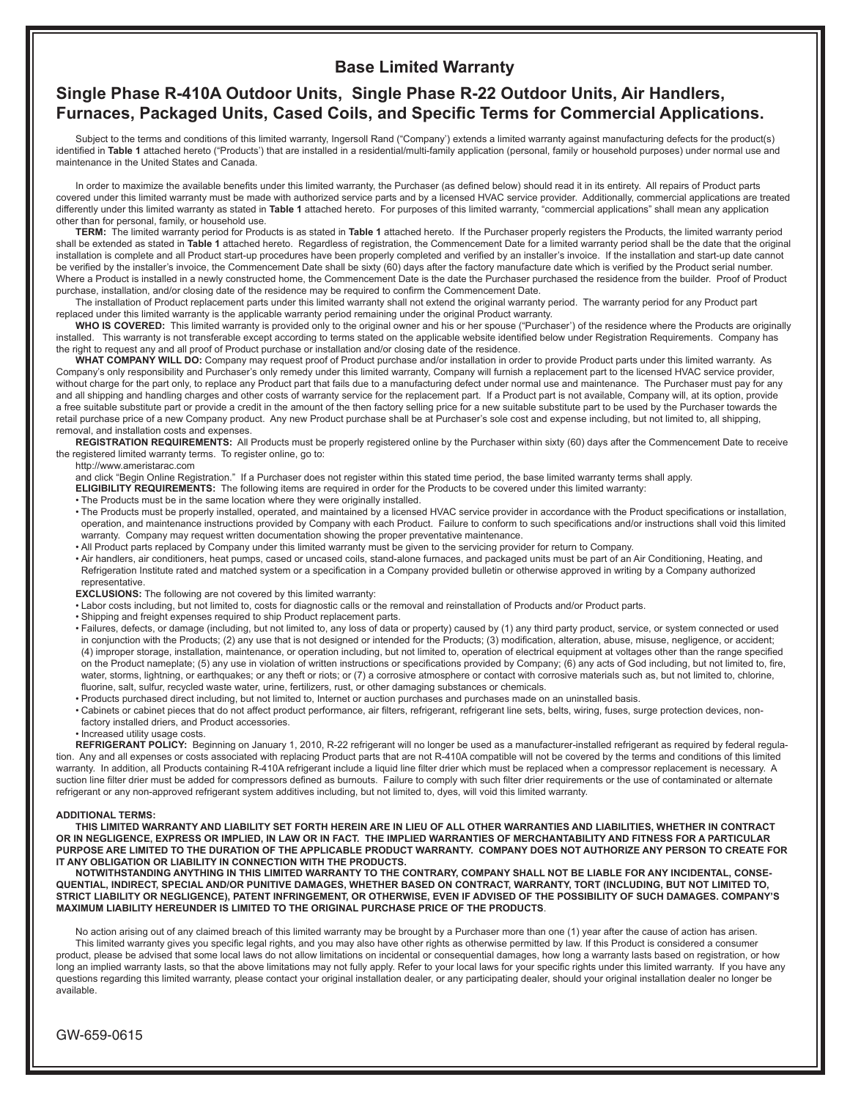# **Base Limited Warranty**

# **Single Phase R-410A Outdoor Units, Single Phase R-22 Outdoor Units, Air Handlers, Furnaces, Packaged Units, Cased Coils, and Specific Terms for Commercial Applications.**

Subject to the terms and conditions of this limited warranty, Ingersoll Rand ("Company') extends a limited warranty against manufacturing defects for the product(s) identified in **Table 1** attached hereto ("Products') that are installed in a residential/multi-family application (personal, family or household purposes) under normal use and maintenance in the United States and Canada.

In order to maximize the available benefits under this limited warranty, the Purchaser (as defined below) should read it in its entirety. All repairs of Product parts covered under this limited warranty must be made with authorized service parts and by a licensed HVAC service provider. Additionally, commercial applications are treated differently under this limited warranty as stated in **Table 1** attached hereto. For purposes of this limited warranty, "commercial applications" shall mean any application other than for personal, family, or household use.

**TERM:** The limited warranty period for Products is as stated in **Table 1** attached hereto. If the Purchaser properly registers the Products, the limited warranty period shall be extended as stated in **Table 1** attached hereto. Regardless of registration, the Commencement Date for a limited warranty period shall be the date that the original installation is complete and all Product start-up procedures have been properly completed and verified by an installer's invoice. If the installation and start-up date cannot be verified by the installer's invoice, the Commencement Date shall be sixty (60) days after the factory manufacture date which is verified by the Product serial number. Where a Product is installed in a newly constructed home, the Commencement Date is the date the Purchaser purchased the residence from the builder. Proof of Product purchase, installation, and/or closing date of the residence may be required to confirm the Commencement Date.

The installation of Product replacement parts under this limited warranty shall not extend the original warranty period. The warranty period for any Product part replaced under this limited warranty is the applicable warranty period remaining under the original Product warranty.

**WHO IS COVERED:** This limited warranty is provided only to the original owner and his or her spouse ("Purchaser') of the residence where the Products are originally installed. This warranty is not transferable except according to terms stated on the applicable website identified below under Registration Requirements. Company has the right to request any and all proof of Product purchase or installation and/or closing date of the residence.

**WHAT COMPANY WILL DO:** Company may request proof of Product purchase and/or installation in order to provide Product parts under this limited warranty. As Company's only responsibility and Purchaser's only remedy under this limited warranty, Company will furnish a replacement part to the licensed HVAC service provider, without charge for the part only, to replace any Product part that fails due to a manufacturing defect under normal use and maintenance. The Purchaser must pay for any and all shipping and handling charges and other costs of warranty service for the replacement part. If a Product part is not available, Company will, at its option, provide a free suitable substitute part or provide a credit in the amount of the then factory selling price for a new suitable substitute part to be used by the Purchaser towards the retail purchase price of a new Company product. Any new Product purchase shall be at Purchaser's sole cost and expense including, but not limited to, all shipping, removal, and installation costs and expenses.

**REGISTRATION REQUIREMENTS:** All Products must be properly registered online by the Purchaser within sixty (60) days after the Commencement Date to receive the registered limited warranty terms. To register online, go to:

http://www.ameristarac.com

and click "Begin Online Registration." If a Purchaser does not register within this stated time period, the base limited warranty terms shall apply.

- **ELIGIBILITY REQUIREMENTS:** The following items are required in order for the Products to be covered under this limited warranty:
- The Products must be in the same location where they were originally installed.
- The Products must be properly installed, operated, and maintained by a licensed HVAC service provider in accordance with the Product specifications or installation, operation, and maintenance instructions provided by Company with each Product. Failure to conform to such specifications and/or instructions shall void this limited warranty. Company may request written documentation showing the proper preventative maintenance.
- All Product parts replaced by Company under this limited warranty must be given to the servicing provider for return to Company.
- Air handlers, air conditioners, heat pumps, cased or uncased coils, stand-alone furnaces, and packaged units must be part of an Air Conditioning, Heating, and Refrigeration Institute rated and matched system or a specification in a Company provided bulletin or otherwise approved in writing by a Company authorized representative.
- **EXCLUSIONS:** The following are not covered by this limited warranty:
- Labor costs including, but not limited to, costs for diagnostic calls or the removal and reinstallation of Products and/or Product parts.
- Shipping and freight expenses required to ship Product replacement parts.
- Failures, defects, or damage (including, but not limited to, any loss of data or property) caused by (1) any third party product, service, or system connected or used in conjunction with the Products; (2) any use that is not designed or intended for the Products; (3) modification, alteration, abuse, misuse, negligence, or accident; (4) improper storage, installation, maintenance, or operation including, but not limited to, operation of electrical equipment at voltages other than the range specified on the Product nameplate; (5) any use in violation of written instructions or specifications provided by Company; (6) any acts of God including, but not limited to, fire, water, storms, lightning, or earthquakes; or any theft or riots; or (7) a corrosive atmosphere or contact with corrosive materials such as, but not limited to. chlorine. fluorine, salt, sulfur, recycled waste water, urine, fertilizers, rust, or other damaging substances or chemicals.
- Products purchased direct including, but not limited to, Internet or auction purchases and purchases made on an uninstalled basis.
- Cabinets or cabinet pieces that do not affect product performance, air filters, refrigerant, refrigerant line sets, belts, wiring, fuses, surge protection devices, nonfactory installed driers, and Product accessories.
- Increased utility usage costs.

**REFRIGERANT POLICY:** Beginning on January 1, 2010, R-22 refrigerant will no longer be used as a manufacturer-installed refrigerant as required by federal regulation. Any and all expenses or costs associated with replacing Product parts that are not R-410A compatible will not be covered by the terms and conditions of this limited warranty. In addition, all Products containing R-410A refrigerant include a liquid line filter drier which must be replaced when a compressor replacement is necessary. A suction line filter drier must be added for compressors defined as burnouts. Failure to comply with such filter drier requirements or the use of contaminated or alternate refrigerant or any non-approved refrigerant system additives including, but not limited to, dyes, will void this limited warranty.

#### **ADDITIONAL TERMS:**

**THIS LIMITED WARRANTY AND LIABILITY SET FORTH HEREIN ARE IN LIEU OF ALL OTHER WARRANTIES AND LIABILITIES, WHETHER IN CONTRACT OR IN NEGLIGENCE, EXPRESS OR IMPLIED, IN LAW OR IN FACT. THE IMPLIED WARRANTIES OF MERCHANTABILITY AND FITNESS FOR A PARTICULAR PURPOSE ARE LIMITED TO THE DURATION OF THE APPLICABLE PRODUCT WARRANTY. COMPANY DOES NOT AUTHORIZE ANY PERSON TO CREATE FOR IT ANY OBLIGATION OR LIABILITY IN CONNECTION WITH THE PRODUCTS.** 

**NOTWITHSTANDING ANYTHING IN THIS LIMITED WARRANTY TO THE CONTRARY, COMPANY SHALL NOT BE LIABLE FOR ANY INCIDENTAL, CONSE-QUENTIAL, INDIRECT, SPECIAL AND/OR PUNITIVE DAMAGES, WHETHER BASED ON CONTRACT, WARRANTY, TORT (INCLUDING, BUT NOT LIMITED TO, STRICT LIABILITY OR NEGLIGENCE), PATENT INFRINGEMENT, OR OTHERWISE, EVEN IF ADVISED OF THE POSSIBILITY OF SUCH DAMAGES. COMPANY'S MAXIMUM LIABILITY HEREUNDER IS LIMITED TO THE ORIGINAL PURCHASE PRICE OF THE PRODUCTS**.

No action arising out of any claimed breach of this limited warranty may be brought by a Purchaser more than one (1) year after the cause of action has arisen. This limited warranty gives you specific legal rights, and you may also have other rights as otherwise permitted by law. If this Product is considered a consumer product, please be advised that some local laws do not allow limitations on incidental or consequential damages, how long a warranty lasts based on registration, or how long an implied warranty lasts, so that the above limitations may not fully apply. Refer to your local laws for your specific rights under this limited warranty. If you have any questions regarding this limited warranty, please contact your original installation dealer, or any participating dealer, should your original installation dealer no longer be available.